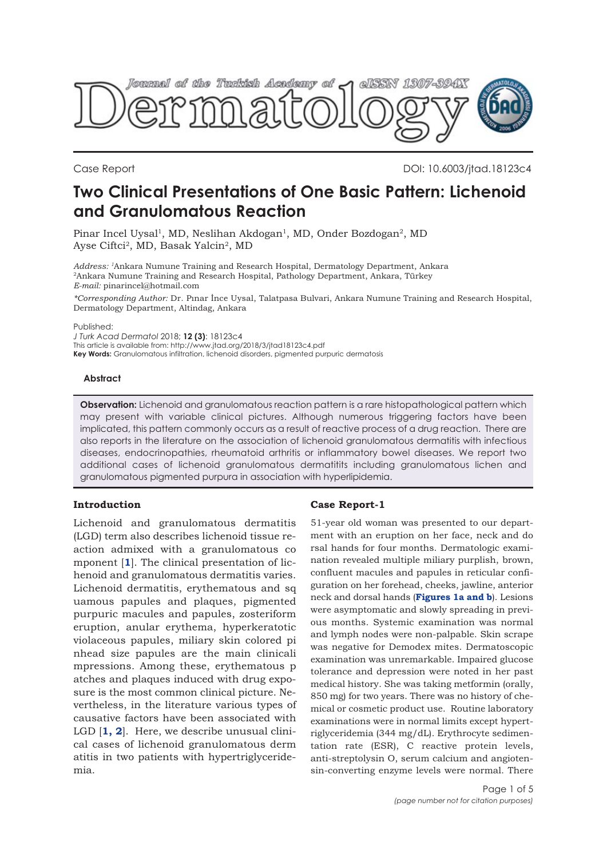

Case Report DOI: 10.6003/jtad.18123c4

# **Two Clinical Presentations of One Basic Pattern: Lichenoid and Granulomatous Reaction**

Pinar Incel Uysal<sup>1</sup>, MD, Neslihan Akdogan<sup>1</sup>, MD, Onder Bozdogan<sup>2</sup>, MD Ayse Ciftci2, MD, Basak Yalcin2, MD

*Address: 1*Ankara Numune Training and Research Hospital, Dermatology Department, Ankara 2Ankara Numune Training and Research Hospital, Pathology Department, Ankara, Türkey *E-mail:* pinarincel@hotmail.com

*\*Corresponding Author:* Dr. Pınar İnce Uysal, Talatpasa Bulvari, Ankara Numune Training and Research Hospital, Dermatology Department, Altindag, Ankara

Published:

*J Turk Acad Dermatol* 2018; **12 (3)**: 18123c4 This article is available from: http://www.jtad.org/2018/3/jtad18123c4.pdf **Key Words:** Granulomatous infiltration, lichenoid disorders, pigmented purpuric dermatosis

## **Abstract**

**Observation:** Lichenoid and granulomatous reaction pattern is a rare histopathological pattern which may present with variable clinical pictures. Although numerous triggering factors have been implicated, this pattern commonly occurs as a result of reactive process of a drug reaction. There are also reports in the literature on the association of lichenoid granulomatous dermatitis with infectious diseases, endocrinopathies, rheumatoid arthritis or inflammatory bowel diseases. We report two additional cases of lichenoid granulomatous dermatitits including granulomatous lichen and granulomatous pigmented purpura in association with hyperlipidemia.

## **Introduction**

Lichenoid and granulomatous dermatitis (LGD) term also describes lichenoid tissue reaction admixed with a granulomatous co mponent [**[1](#page-3-0)**]. The clinical presentation of lichenoid and granulomatous dermatitis varies. Lichenoid dermatitis, erythematous and sq uamous papules and plaques, pigmented purpuric macules and papules, zosteriform eruption, anular erythema, hyperkeratotic violaceous papules, miliary skin colored pi nhead size papules are the main clinicali mpressions. Among these, erythematous p atches and plaques induced with drug exposure is the most common clinical picture. Nevertheless, in the literature various types of causative factors have been associated with LGD [**[1, 2](#page-3-0)**]. Here, we describe unusual clinical cases of lichenoid granulomatous derm atitis in two patients with hypertriglyceridemia.

## **Case Report-1**

51-year old woman was presented to our department with an eruption on her face, neck and do rsal hands for four months. Dermatologic examination revealed multiple miliary purplish, brown, confluent macules and papules in reticular configuration on her forehead, cheeks, jawline, anterior neck and dorsal hands (**[Figures 1a and b](#page-1-0)**). Lesions were asymptomatic and slowly spreading in previous months. Systemic examination was normal and lymph nodes were non-palpable. Skin scrape was negative for Demodex mites. Dermatoscopic examination was unremarkable. Impaired glucose tolerance and depression were noted in her past medical history. She was taking metformin (orally, 850 mg) for two years. There was no history of chemical or cosmetic product use. Routine laboratory examinations were in normal limits except hypertriglyceridemia (344 mg/dL). Erythrocyte sedimentation rate (ESR), C reactive protein levels, anti-streptolysin O, serum calcium and angiotensin-converting enzyme levels were normal. There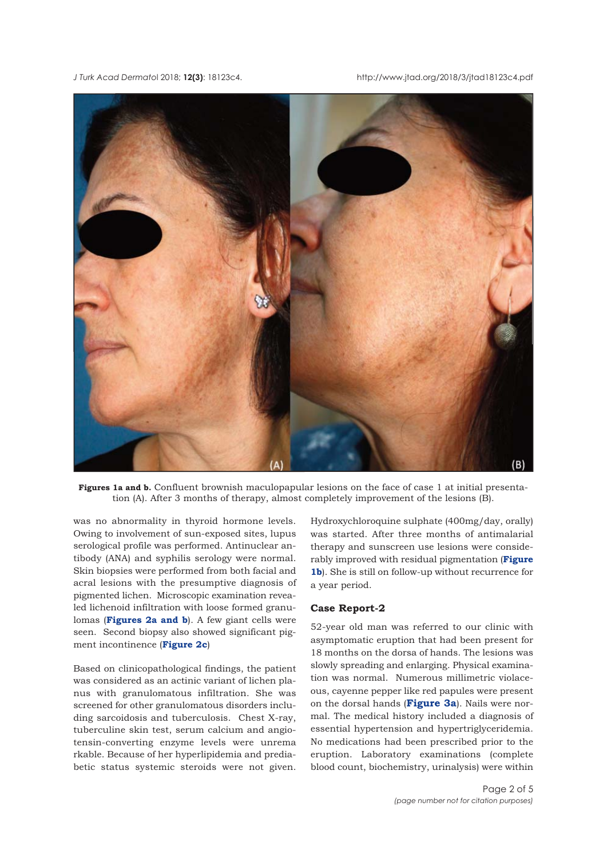<span id="page-1-0"></span>*J Turk Acad Dermato*l 2018; **12(3)**: 18123c4. http://www.jtad.org/2018/3/jtad18123c4.pdf



**Figures 1a and b.** Confluent brownish maculopapular lesions on the face of case 1 at initial presentation (A). After 3 months of therapy, almost completely improvement of the lesions (B).

was no abnormality in thyroid hormone levels. Owing to involvement of sun-exposed sites, lupus serological profile was performed. Antinuclear antibody (ANA) and syphilis serology were normal. Skin biopsies were performed from both facial and acral lesions with the presumptive diagnosis of pigmented lichen. Microscopic examination revealed lichenoid infiltration with loose formed granulomas (**[Figures 2a and b](#page-2-0)**). A few giant cells were seen. Second biopsy also showed significant pigment incontinence (**[Figure 2c](#page-2-0)**)

Based on clinicopathological findings, the patient was considered as an actinic variant of lichen planus with granulomatous infiltration. She was screened for other granulomatous disorders including sarcoidosis and tuberculosis. Chest X-ray, tuberculine skin test, serum calcium and angiotensin-converting enzyme levels were unrema rkable. Because of her hyperlipidemia and prediabetic status systemic steroids were not given.

Hydroxychloroquine sulphate (400mg/day, orally) was started. After three months of antimalarial therapy and sunscreen use lesions were considerably improved with residual pigmentation (**Figure 1b**). She is still on follow-up without recurrence for a year period.

## **Case Report-2**

52-year old man was referred to our clinic with asymptomatic eruption that had been present for 18 months on the dorsa of hands. The lesions was slowly spreading and enlarging. Physical examination was normal. Numerous millimetric violaceous, cayenne pepper like red papules were present on the dorsal hands (**[Figure 3a](#page-2-0)**). Nails were normal. The medical history included a diagnosis of essential hypertension and hypertriglyceridemia. No medications had been prescribed prior to the eruption. Laboratory examinations (complete blood count, biochemistry, urinalysis) were within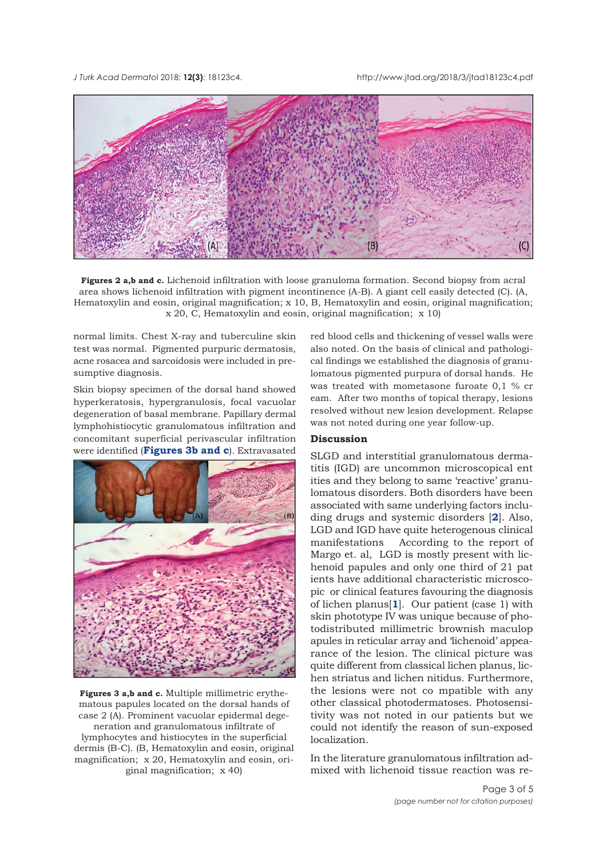<span id="page-2-0"></span>*J Turk Acad Dermato*l 2018; **12(3)**: 18123c4. http://www.jtad.org/2018/3/jtad18123c4.pdf



**Figures 2 a,b and c.** Lichenoid infiltration with loose granuloma formation. Second biopsy from acral area shows lichenoid infiltration with pigment incontinence (A-B). A giant cell easily detected (C). (A, Hematoxylin and eosin, original magnification; x 10, B, Hematoxylin and eosin, original magnification; x 20, C, Hematoxylin and eosin, original magnification; x 10)

normal limits. Chest X-ray and tuberculine skin test was normal. Pigmented purpuric dermatosis, acne rosacea and sarcoidosis were included in presumptive diagnosis.

Skin biopsy specimen of the dorsal hand showed hyperkeratosis, hypergranulosis, focal vacuolar degeneration of basal membrane. Papillary dermal lymphohistiocytic granulomatous infiltration and concomitant superficial perivascular infiltration were identified (**Figures 3b and c**). Extravasated



**Figures 3 a,b and c.** Multiple millimetric erythematous papules located on the dorsal hands of case 2 (A). Prominent vacuolar epidermal degeneration and granulomatous infiltrate of lymphocytes and histiocytes in the superficial dermis (B-C). (B, Hematoxylin and eosin, original magnification; x 20, Hematoxylin and eosin, original magnification; x 40)

red blood cells and thickening of vessel walls were also noted. On the basis of clinical and pathological findings we established the diagnosis of granulomatous pigmented purpura of dorsal hands. He was treated with mometasone furoate 0,1 % cr eam. After two months of topical therapy, lesions resolved without new lesion development. Relapse was not noted during one year follow-up.

## **Discussion**

SLGD and interstitial granulomatous dermatitis (IGD) are uncommon microscopical ent ities and they belong to same 'reactive' granulomatous disorders. Both disorders have been associated with same underlying factors including drugs and systemic disorders [**[2](#page-3-0)**]. Also, LGD and IGD have quite heterogenous clinical manifestations According to the report of Margo et. al, LGD is mostly present with lichenoid papules and only one third of 21 pat ients have additional characteristic microscopic or clinical features favouring the diagnosis of lichen planus[**[1](#page-3-0)**]. Our patient (case 1) with skin phototype IV was unique because of photodistributed millimetric brownish maculop apules in reticular array and 'lichenoid' appearance of the lesion. The clinical picture was quite different from classical lichen planus, lichen striatus and lichen nitidus. Furthermore, the lesions were not co mpatible with any other classical photodermatoses. Photosensitivity was not noted in our patients but we could not identify the reason of sun-exposed localization.

In the literature granulomatous infiltration admixed with lichenoid tissue reaction was re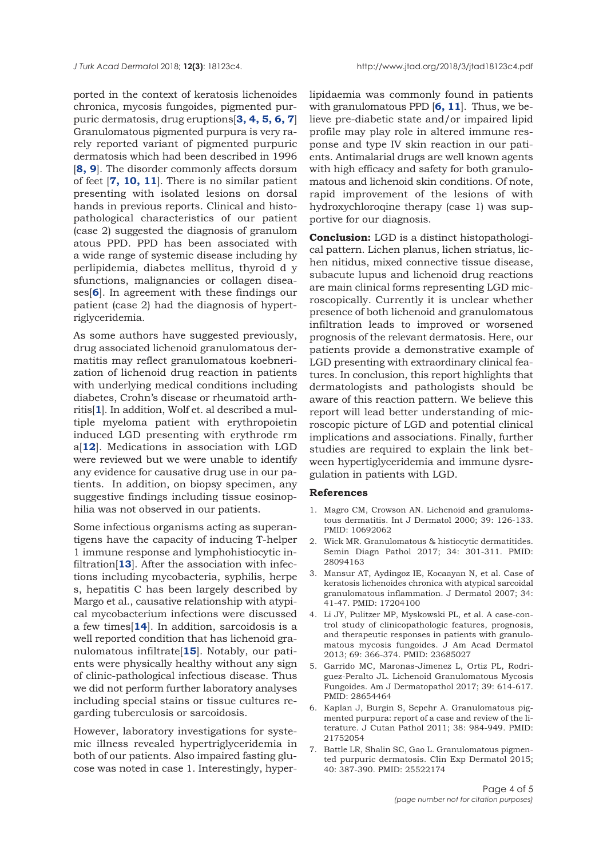<span id="page-3-0"></span>ported in the context of keratosis lichenoides chronica, mycosis fungoides, pigmented purpuric dermatosis, drug eruptions[**3, 4, 5, 6, 7**] Granulomatous pigmented purpura is very rarely reported variant of pigmented purpuric dermatosis which had been described in 1996 [**[8, 9](#page-4-0)**]. The disorder commonly affects dorsum of feet [**7, [10](#page-4-0), [11](#page-4-0)**]. There is no similar patient presenting with isolated lesions on dorsal hands in previous reports. Clinical and histopathological characteristics of our patient (case 2) suggested the diagnosis of granulom atous PPD. PPD has been associated with a wide range of systemic disease including hy perlipidemia, diabetes mellitus, thyroid d y sfunctions, malignancies or collagen diseases[**6**]. In agreement with these findings our patient (case 2) had the diagnosis of hypertriglyceridemia.

As some authors have suggested previously, drug associated lichenoid granulomatous dermatitis may reflect granulomatous koebnerization of lichenoid drug reaction in patients with underlying medical conditions including diabetes, Crohn's disease or rheumatoid arthritis[**1**]. In addition, Wolf et. al described a multiple myeloma patient with erythropoietin induced LGD presenting with erythrode rm a[**[12](#page-4-0)**]. Medications in association with LGD were reviewed but we were unable to identify any evidence for causative drug use in our patients. In addition, on biopsy specimen, any suggestive findings including tissue eosinophilia was not observed in our patients.

Some infectious organisms acting as superantigens have the capacity of inducing T-helper 1 immune response and lymphohistiocytic infiltration[**[13](#page-4-0)**]. After the association with infections including mycobacteria, syphilis, herpe s, hepatitis C has been largely described by Margo et al., causative relationship with atypical mycobacterium infections were discussed a few times[**[14](#page-4-0)**]. In addition, sarcoidosis is a well reported condition that has lichenoid granulomatous infiltrate[**[15](#page-4-0)**]. Notably, our patients were physically healthy without any sign of clinic-pathological infectious disease. Thus we did not perform further laboratory analyses including special stains or tissue cultures regarding tuberculosis or sarcoidosis.

However, laboratory investigations for systemic illness revealed hypertriglyceridemia in both of our patients. Also impaired fasting glucose was noted in case 1. Interestingly, hyperlipidaemia was commonly found in patients with granulomatous PPD [**6, [11](#page-4-0)**]. Thus, we believe pre-diabetic state and/or impaired lipid profile may play role in altered immune response and type IV skin reaction in our patients. Antimalarial drugs are well known agents with high efficacy and safety for both granulomatous and lichenoid skin conditions. Of note, rapid improvement of the lesions of with hydroxychloroqine therapy (case 1) was supportive for our diagnosis.

**Conclusion:** LGD is a distinct histopathological pattern. Lichen planus, lichen striatus, lichen nitidus, mixed connective tissue disease, subacute lupus and lichenoid drug reactions are main clinical forms representing LGD microscopically. Currently it is unclear whether presence of both lichenoid and granulomatous infiltration leads to improved or worsened prognosis of the relevant dermatosis. Here, our patients provide a demonstrative example of LGD presenting with extraordinary clinical features. In conclusion, this report highlights that dermatologists and pathologists should be aware of this reaction pattern. We believe this report will lead better understanding of microscopic picture of LGD and potential clinical implications and associations. Finally, further studies are required to explain the link between hypertiglyceridemia and immune dysregulation in patients with LGD.

#### **References**

- 1. Magro CM, Crowson AN. Lichenoid and granulomatous dermatitis. Int J Dermatol 2000; 39: 126-133. PMID: 10692062
- 2. Wick MR. Granulomatous & histiocytic dermatitides. Semin Diagn Pathol 2017; 34: 301-311. PMID: 28094163
- 3. Mansur AT, Aydingoz IE, Kocaayan N, et al. Case of keratosis lichenoides chronica with atypical sarcoidal granulomatous inflammation. J Dermatol 2007; 34: 41-47. PMID: 17204100
- 4. Li JY, Pulitzer MP, Myskowski PL, et al. A case-control study of clinicopathologic features, prognosis, and therapeutic responses in patients with granulomatous mycosis fungoides. J Am Acad Dermatol 2013; 69: 366-374. PMID: 23685027
- 5. Garrido MC, Maronas-Jimenez L, Ortiz PL, Rodriguez-Peralto JL. Lichenoid Granulomatous Mycosis Fungoides. Am J Dermatopathol 2017; 39: 614-617. PMID: 28654464
- 6. Kaplan J, Burgin S, Sepehr A. Granulomatous pigmented purpura: report of a case and review of the literature. J Cutan Pathol 2011; 38: 984-949. PMID: 21752054
- 7. Battle LR, Shalin SC, Gao L. Granulomatous pigmented purpuric dermatosis. Clin Exp Dermatol 2015; 40: 387-390. PMID: 25522174